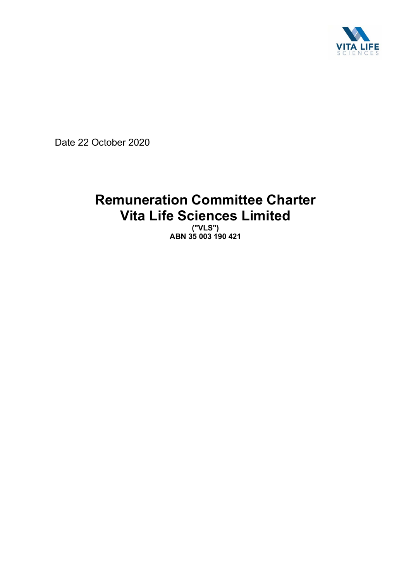

Date 22 October 2020

# **Remuneration Committee Charter Vita Life Sciences Limited**

**("VLS") ABN 35 003 190 421**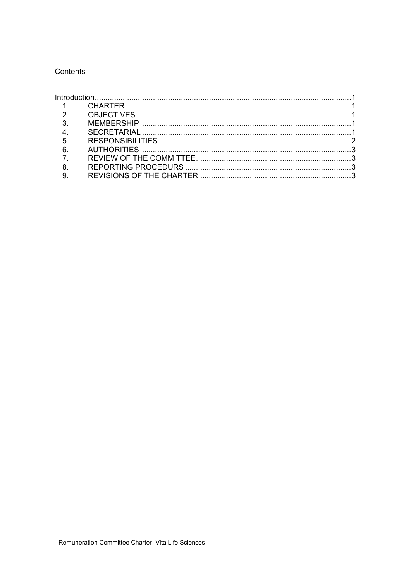## Contents

| $\overline{1}$   |  |  |
|------------------|--|--|
| 2 <sup>1</sup>   |  |  |
| 3 <sub>l</sub>   |  |  |
| $\overline{4}$ . |  |  |
| 5.               |  |  |
| 6.               |  |  |
| $\overline{7}$   |  |  |
| 8.               |  |  |
|                  |  |  |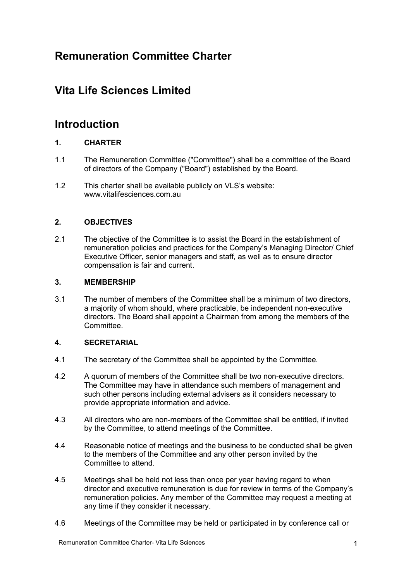# **Remuneration Committee Charter**

# **Vita Life Sciences Limited**

# **Introduction**

## **1. CHARTER**

- 1.1 The Remuneration Committee ("Committee") shall be a committee of the Board of directors of the Company ("Board") established by the Board.
- 1.2 This charter shall be available publicly on VLS's website: www.vitalifesciences.com.au

### **2. OBJECTIVES**

2.1 The objective of the Committee is to assist the Board in the establishment of remuneration policies and practices for the Company's Managing Director/ Chief Executive Officer, senior managers and staff, as well as to ensure director compensation is fair and current.

#### **3. MEMBERSHIP**

3.1 The number of members of the Committee shall be a minimum of two directors, a majority of whom should, where practicable, be independent non-executive directors. The Board shall appoint a Chairman from among the members of the **Committee.** 

#### **4. SECRETARIAL**

- 4.1 The secretary of the Committee shall be appointed by the Committee.
- 4.2 A quorum of members of the Committee shall be two non-executive directors. The Committee may have in attendance such members of management and such other persons including external advisers as it considers necessary to provide appropriate information and advice.
- 4.3 All directors who are non-members of the Committee shall be entitled, if invited by the Committee, to attend meetings of the Committee.
- 4.4 Reasonable notice of meetings and the business to be conducted shall be given to the members of the Committee and any other person invited by the Committee to attend.
- 4.5 Meetings shall be held not less than once per year having regard to when director and executive remuneration is due for review in terms of the Company's remuneration policies. Any member of the Committee may request a meeting at any time if they consider it necessary.
- 4.6 Meetings of the Committee may be held or participated in by conference call or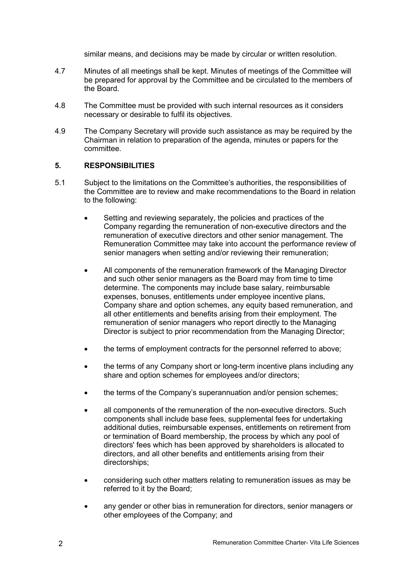similar means, and decisions may be made by circular or written resolution.

- 4.7 Minutes of all meetings shall be kept. Minutes of meetings of the Committee will be prepared for approval by the Committee and be circulated to the members of the Board.
- 4.8 The Committee must be provided with such internal resources as it considers necessary or desirable to fulfil its objectives.
- 4.9 The Company Secretary will provide such assistance as may be required by the Chairman in relation to preparation of the agenda, minutes or papers for the committee.

#### **5. RESPONSIBILITIES**

- 5.1 Subject to the limitations on the Committee's authorities, the responsibilities of the Committee are to review and make recommendations to the Board in relation to the following:
	- Setting and reviewing separately, the policies and practices of the Company regarding the remuneration of non-executive directors and the remuneration of executive directors and other senior management. The Remuneration Committee may take into account the performance review of senior managers when setting and/or reviewing their remuneration;
	- All components of the remuneration framework of the Managing Director and such other senior managers as the Board may from time to time determine. The components may include base salary, reimbursable expenses, bonuses, entitlements under employee incentive plans, Company share and option schemes, any equity based remuneration, and all other entitlements and benefits arising from their employment. The remuneration of senior managers who report directly to the Managing Director is subject to prior recommendation from the Managing Director;
	- the terms of employment contracts for the personnel referred to above;
	- the terms of any Company short or long-term incentive plans including any share and option schemes for employees and/or directors;
	- the terms of the Company's superannuation and/or pension schemes;
	- all components of the remuneration of the non-executive directors. Such components shall include base fees, supplemental fees for undertaking additional duties, reimbursable expenses, entitlements on retirement from or termination of Board membership, the process by which any pool of directors' fees which has been approved by shareholders is allocated to directors, and all other benefits and entitlements arising from their directorships;
	- considering such other matters relating to remuneration issues as may be referred to it by the Board;
	- any gender or other bias in remuneration for directors, senior managers or other employees of the Company; and